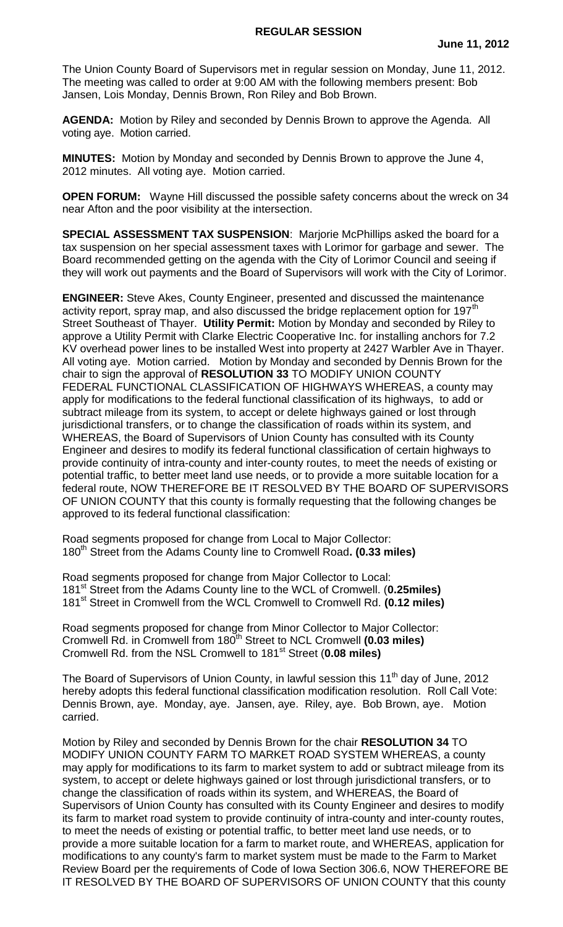The Union County Board of Supervisors met in regular session on Monday, June 11, 2012. The meeting was called to order at 9:00 AM with the following members present: Bob Jansen, Lois Monday, Dennis Brown, Ron Riley and Bob Brown.

**AGENDA:** Motion by Riley and seconded by Dennis Brown to approve the Agenda. All voting aye. Motion carried.

**MINUTES:** Motion by Monday and seconded by Dennis Brown to approve the June 4, 2012 minutes. All voting aye. Motion carried.

**OPEN FORUM:** Wayne Hill discussed the possible safety concerns about the wreck on 34 near Afton and the poor visibility at the intersection.

**SPECIAL ASSESSMENT TAX SUSPENSION**: Marjorie McPhillips asked the board for a tax suspension on her special assessment taxes with Lorimor for garbage and sewer. The Board recommended getting on the agenda with the City of Lorimor Council and seeing if they will work out payments and the Board of Supervisors will work with the City of Lorimor.

**ENGINEER:** Steve Akes, County Engineer, presented and discussed the maintenance activity report, spray map, and also discussed the bridge replacement option for 197<sup>th</sup> Street Southeast of Thayer. **Utility Permit:** Motion by Monday and seconded by Riley to approve a Utility Permit with Clarke Electric Cooperative Inc. for installing anchors for 7.2 KV overhead power lines to be installed West into property at 2427 Warbler Ave in Thayer. All voting aye. Motion carried. Motion by Monday and seconded by Dennis Brown for the chair to sign the approval of **RESOLUTION 33** TO MODIFY UNION COUNTY FEDERAL FUNCTIONAL CLASSIFICATION OF HIGHWAYS WHEREAS, a county may apply for modifications to the federal functional classification of its highways, to add or subtract mileage from its system, to accept or delete highways gained or lost through jurisdictional transfers, or to change the classification of roads within its system, and WHEREAS, the Board of Supervisors of Union County has consulted with its County Engineer and desires to modify its federal functional classification of certain highways to provide continuity of intra-county and inter-county routes, to meet the needs of existing or potential traffic, to better meet land use needs, or to provide a more suitable location for a federal route, NOW THEREFORE BE IT RESOLVED BY THE BOARD OF SUPERVISORS OF UNION COUNTY that this county is formally requesting that the following changes be approved to its federal functional classification:

Road segments proposed for change from Local to Major Collector: 180th Street from the Adams County line to Cromwell Road**. (0.33 miles)**

Road segments proposed for change from Major Collector to Local: 181st Street from the Adams County line to the WCL of Cromwell. (**0.25miles)** 181st Street in Cromwell from the WCL Cromwell to Cromwell Rd. **(0.12 miles)**

Road segments proposed for change from Minor Collector to Major Collector: Cromwell Rd. in Cromwell from 180<sup>th</sup> Street to NCL Cromwell **(0.03 miles)** Cromwell Rd. from the NSL Cromwell to 181st Street (**0.08 miles)**

The Board of Supervisors of Union County, in lawful session this  $11<sup>th</sup>$  day of June, 2012 hereby adopts this federal functional classification modification resolution. Roll Call Vote: Dennis Brown, aye. Monday, aye. Jansen, aye. Riley, aye. Bob Brown, aye. Motion carried.

Motion by Riley and seconded by Dennis Brown for the chair **RESOLUTION 34** TO MODIFY UNION COUNTY FARM TO MARKET ROAD SYSTEM WHEREAS, a county may apply for modifications to its farm to market system to add or subtract mileage from its system, to accept or delete highways gained or lost through jurisdictional transfers, or to change the classification of roads within its system, and WHEREAS, the Board of Supervisors of Union County has consulted with its County Engineer and desires to modify its farm to market road system to provide continuity of intra-county and inter-county routes, to meet the needs of existing or potential traffic, to better meet land use needs, or to provide a more suitable location for a farm to market route, and WHEREAS, application for modifications to any county's farm to market system must be made to the Farm to Market Review Board per the requirements of Code of Iowa Section 306.6, NOW THEREFORE BE IT RESOLVED BY THE BOARD OF SUPERVISORS OF UNION COUNTY that this county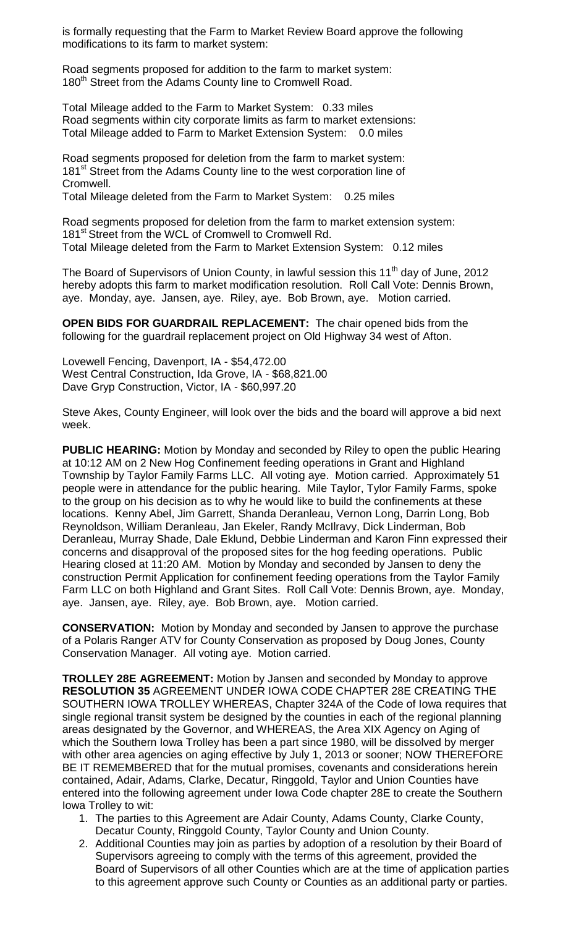is formally requesting that the Farm to Market Review Board approve the following modifications to its farm to market system:

Road segments proposed for addition to the farm to market system: 180<sup>th</sup> Street from the Adams County line to Cromwell Road.

Total Mileage added to the Farm to Market System: 0.33 miles Road segments within city corporate limits as farm to market extensions: Total Mileage added to Farm to Market Extension System: 0.0 miles

Road segments proposed for deletion from the farm to market system: 181<sup>st</sup> Street from the Adams County line to the west corporation line of Cromwell.

Total Mileage deleted from the Farm to Market System: 0.25 miles

Road segments proposed for deletion from the farm to market extension system: 181<sup>st</sup> Street from the WCL of Cromwell to Cromwell Rd. Total Mileage deleted from the Farm to Market Extension System: 0.12 miles

The Board of Supervisors of Union County, in lawful session this  $11<sup>th</sup>$  day of June, 2012 hereby adopts this farm to market modification resolution. Roll Call Vote: Dennis Brown, aye. Monday, aye. Jansen, aye. Riley, aye. Bob Brown, aye. Motion carried.

**OPEN BIDS FOR GUARDRAIL REPLACEMENT:** The chair opened bids from the following for the guardrail replacement project on Old Highway 34 west of Afton.

Lovewell Fencing, Davenport, IA - \$54,472.00 West Central Construction, Ida Grove, IA - \$68,821.00 Dave Gryp Construction, Victor, IA - \$60,997.20

Steve Akes, County Engineer, will look over the bids and the board will approve a bid next week.

**PUBLIC HEARING:** Motion by Monday and seconded by Riley to open the public Hearing at 10:12 AM on 2 New Hog Confinement feeding operations in Grant and Highland Township by Taylor Family Farms LLC. All voting aye. Motion carried. Approximately 51 people were in attendance for the public hearing. Mile Taylor, Tylor Family Farms, spoke to the group on his decision as to why he would like to build the confinements at these locations. Kenny Abel, Jim Garrett, Shanda Deranleau, Vernon Long, Darrin Long, Bob Reynoldson, William Deranleau, Jan Ekeler, Randy McIlravy, Dick Linderman, Bob Deranleau, Murray Shade, Dale Eklund, Debbie Linderman and Karon Finn expressed their concerns and disapproval of the proposed sites for the hog feeding operations. Public Hearing closed at 11:20 AM. Motion by Monday and seconded by Jansen to deny the construction Permit Application for confinement feeding operations from the Taylor Family Farm LLC on both Highland and Grant Sites. Roll Call Vote: Dennis Brown, aye. Monday, aye. Jansen, aye. Riley, aye. Bob Brown, aye. Motion carried.

**CONSERVATION:** Motion by Monday and seconded by Jansen to approve the purchase of a Polaris Ranger ATV for County Conservation as proposed by Doug Jones, County Conservation Manager. All voting aye. Motion carried.

**TROLLEY 28E AGREEMENT:** Motion by Jansen and seconded by Monday to approve **RESOLUTION 35** AGREEMENT UNDER IOWA CODE CHAPTER 28E CREATING THE SOUTHERN IOWA TROLLEY WHEREAS, Chapter 324A of the Code of Iowa requires that single regional transit system be designed by the counties in each of the regional planning areas designated by the Governor, and WHEREAS, the Area XIX Agency on Aging of which the Southern Iowa Trolley has been a part since 1980, will be dissolved by merger with other area agencies on aging effective by July 1, 2013 or sooner; NOW THEREFORE BE IT REMEMBERED that for the mutual promises, covenants and considerations herein contained, Adair, Adams, Clarke, Decatur, Ringgold, Taylor and Union Counties have entered into the following agreement under Iowa Code chapter 28E to create the Southern Iowa Trolley to wit:

- 1. The parties to this Agreement are Adair County, Adams County, Clarke County, Decatur County, Ringgold County, Taylor County and Union County.
- 2. Additional Counties may join as parties by adoption of a resolution by their Board of Supervisors agreeing to comply with the terms of this agreement, provided the Board of Supervisors of all other Counties which are at the time of application parties to this agreement approve such County or Counties as an additional party or parties.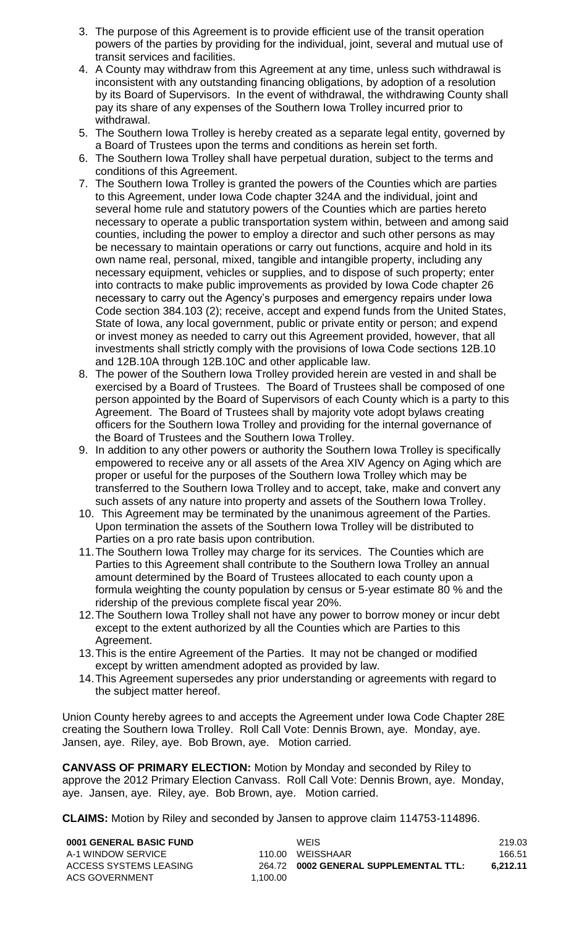- 3. The purpose of this Agreement is to provide efficient use of the transit operation powers of the parties by providing for the individual, joint, several and mutual use of transit services and facilities.
- 4. A County may withdraw from this Agreement at any time, unless such withdrawal is inconsistent with any outstanding financing obligations, by adoption of a resolution by its Board of Supervisors. In the event of withdrawal, the withdrawing County shall pay its share of any expenses of the Southern Iowa Trolley incurred prior to withdrawal.
- 5. The Southern Iowa Trolley is hereby created as a separate legal entity, governed by a Board of Trustees upon the terms and conditions as herein set forth.
- 6. The Southern Iowa Trolley shall have perpetual duration, subject to the terms and conditions of this Agreement.
- 7. The Southern Iowa Trolley is granted the powers of the Counties which are parties to this Agreement, under Iowa Code chapter 324A and the individual, joint and several home rule and statutory powers of the Counties which are parties hereto necessary to operate a public transportation system within, between and among said counties, including the power to employ a director and such other persons as may be necessary to maintain operations or carry out functions, acquire and hold in its own name real, personal, mixed, tangible and intangible property, including any necessary equipment, vehicles or supplies, and to dispose of such property; enter into contracts to make public improvements as provided by Iowa Code chapter 26 necessary to carry out the Agency's purposes and emergency repairs under Iowa Code section 384.103 (2); receive, accept and expend funds from the United States, State of Iowa, any local government, public or private entity or person; and expend or invest money as needed to carry out this Agreement provided, however, that all investments shall strictly comply with the provisions of Iowa Code sections 12B.10 and 12B.10A through 12B.10C and other applicable law.
- 8. The power of the Southern Iowa Trolley provided herein are vested in and shall be exercised by a Board of Trustees. The Board of Trustees shall be composed of one person appointed by the Board of Supervisors of each County which is a party to this Agreement. The Board of Trustees shall by majority vote adopt bylaws creating officers for the Southern Iowa Trolley and providing for the internal governance of the Board of Trustees and the Southern Iowa Trolley.
- 9. In addition to any other powers or authority the Southern Iowa Trolley is specifically empowered to receive any or all assets of the Area XIV Agency on Aging which are proper or useful for the purposes of the Southern Iowa Trolley which may be transferred to the Southern Iowa Trolley and to accept, take, make and convert any such assets of any nature into property and assets of the Southern Iowa Trolley.
- 10. This Agreement may be terminated by the unanimous agreement of the Parties. Upon termination the assets of the Southern Iowa Trolley will be distributed to Parties on a pro rate basis upon contribution.
- 11.The Southern Iowa Trolley may charge for its services. The Counties which are Parties to this Agreement shall contribute to the Southern Iowa Trolley an annual amount determined by the Board of Trustees allocated to each county upon a formula weighting the county population by census or 5-year estimate 80 % and the ridership of the previous complete fiscal year 20%.
- 12.The Southern Iowa Trolley shall not have any power to borrow money or incur debt except to the extent authorized by all the Counties which are Parties to this Agreement.
- 13.This is the entire Agreement of the Parties. It may not be changed or modified except by written amendment adopted as provided by law.
- 14.This Agreement supersedes any prior understanding or agreements with regard to the subject matter hereof.

Union County hereby agrees to and accepts the Agreement under Iowa Code Chapter 28E creating the Southern Iowa Trolley. Roll Call Vote: Dennis Brown, aye. Monday, aye. Jansen, aye. Riley, aye. Bob Brown, aye. Motion carried.

**CANVASS OF PRIMARY ELECTION:** Motion by Monday and seconded by Riley to approve the 2012 Primary Election Canvass. Roll Call Vote: Dennis Brown, aye. Monday, aye. Jansen, aye. Riley, aye. Bob Brown, aye. Motion carried.

**CLAIMS:** Motion by Riley and seconded by Jansen to approve claim 114753-114896.

| 0001 GENERAL BASIC FUND |          | WEIS                                  | 219.03   |
|-------------------------|----------|---------------------------------------|----------|
| A-1 WINDOW SERVICE      |          | 110.00 WEISSHAAR                      | 166.51   |
| ACCESS SYSTEMS LEASING  |          | 264.72 0002 GENERAL SUPPLEMENTAL TTL: | 6.212.11 |
| ACS GOVERNMENT          | 1.100.00 |                                       |          |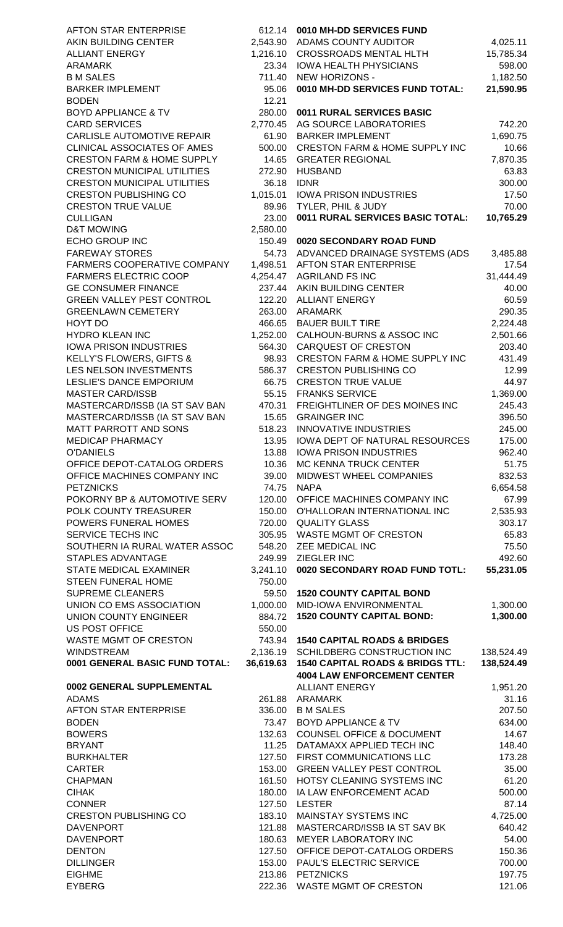| <b>AFTON STAR ENTERPRISE</b>          |           | 612.14 0010 MH-DD SERVICES FUND             |            |
|---------------------------------------|-----------|---------------------------------------------|------------|
| AKIN BUILDING CENTER                  |           | 2,543.90 ADAMS COUNTY AUDITOR               | 4,025.11   |
| <b>ALLIANT ENERGY</b>                 |           | 1,216.10 CROSSROADS MENTAL HLTH             | 15,785.34  |
| <b>ARAMARK</b>                        |           | 23.34 IOWA HEALTH PHYSICIANS                | 598.00     |
| <b>B M SALES</b>                      | 711.40    | NEW HORIZONS -                              | 1,182.50   |
| <b>BARKER IMPLEMENT</b>               | 95.06     | 0010 MH-DD SERVICES FUND TOTAL:             | 21,590.95  |
| <b>BODEN</b>                          | 12.21     |                                             |            |
| <b>BOYD APPLIANCE &amp; TV</b>        | 280.00    | 0011 RURAL SERVICES BASIC                   |            |
| <b>CARD SERVICES</b>                  |           | 2,770.45 AG SOURCE LABORATORIES             | 742.20     |
| CARLISLE AUTOMOTIVE REPAIR            |           | 61.90 BARKER IMPLEMENT                      | 1,690.75   |
| CLINICAL ASSOCIATES OF AMES           | 500.00    | <b>CRESTON FARM &amp; HOME SUPPLY INC</b>   | 10.66      |
| <b>CRESTON FARM &amp; HOME SUPPLY</b> | 14.65     | <b>GREATER REGIONAL</b>                     | 7,870.35   |
| <b>CRESTON MUNICIPAL UTILITIES</b>    | 272.90    | <b>HUSBAND</b>                              | 63.83      |
| <b>CRESTON MUNICIPAL UTILITIES</b>    | 36.18     | <b>IDNR</b>                                 | 300.00     |
| <b>CRESTON PUBLISHING CO</b>          | 1,015.01  | IOWA PRISON INDUSTRIES                      | 17.50      |
| <b>CRESTON TRUE VALUE</b>             | 89.96     | TYLER, PHIL & JUDY                          | 70.00      |
| <b>CULLIGAN</b>                       | 23.00     | 0011 RURAL SERVICES BASIC TOTAL:            | 10,765.29  |
| <b>D&amp;T MOWING</b>                 | 2,580.00  |                                             |            |
| <b>ECHO GROUP INC</b>                 | 150.49    | 0020 SECONDARY ROAD FUND                    |            |
| <b>FAREWAY STORES</b>                 |           | 54.73 ADVANCED DRAINAGE SYSTEMS (ADS        | 3,485.88   |
| FARMERS COOPERATIVE COMPANY           | 1,498.51  | AFTON STAR ENTERPRISE                       | 17.54      |
| <b>FARMERS ELECTRIC COOP</b>          |           | 4,254.47 AGRILAND FS INC                    | 31,444.49  |
| <b>GE CONSUMER FINANCE</b>            |           | 237.44 AKIN BUILDING CENTER                 | 40.00      |
| <b>GREEN VALLEY PEST CONTROL</b>      |           | 122.20 ALLIANT ENERGY                       | 60.59      |
| <b>GREENLAWN CEMETERY</b>             |           | 263.00 ARAMARK                              | 290.35     |
| HOYT DO                               |           | 466.65 BAUER BUILT TIRE                     | 2,224.48   |
| <b>HYDRO KLEAN INC</b>                |           | 1,252.00 CALHOUN-BURNS & ASSOC INC          | 2,501.66   |
| <b>IOWA PRISON INDUSTRIES</b>         | 564.30    | <b>CARQUEST OF CRESTON</b>                  | 203.40     |
| <b>KELLY'S FLOWERS, GIFTS &amp;</b>   | 98.93     | <b>CRESTON FARM &amp; HOME SUPPLY INC</b>   | 431.49     |
| LES NELSON INVESTMENTS                | 586.37    | <b>CRESTON PUBLISHING CO</b>                | 12.99      |
| LESLIE'S DANCE EMPORIUM               | 66.75     | <b>CRESTON TRUE VALUE</b>                   | 44.97      |
| <b>MASTER CARD/ISSB</b>               |           | 55.15 FRANKS SERVICE                        | 1,369.00   |
| MASTERCARD/ISSB (IA ST SAV BAN        | 470.31    | FREIGHTLINER OF DES MOINES INC              | 245.43     |
| MASTERCARD/ISSB (IA ST SAV BAN        |           | 15.65 GRAINGER INC                          | 396.50     |
| MATT PARROTT AND SONS                 |           | 518.23 INNOVATIVE INDUSTRIES                | 245.00     |
| <b>MEDICAP PHARMACY</b>               |           | 13.95 IOWA DEPT OF NATURAL RESOURCES        | 175.00     |
| <b>O'DANIELS</b>                      | 13.88     | <b>IOWA PRISON INDUSTRIES</b>               | 962.40     |
| OFFICE DEPOT-CATALOG ORDERS           | 10.36     | <b>MC KENNA TRUCK CENTER</b>                | 51.75      |
| OFFICE MACHINES COMPANY INC           | 39.00     | MIDWEST WHEEL COMPANIES                     | 832.53     |
| <b>PETZNICKS</b>                      | 74.75     | <b>NAPA</b>                                 | 6,654.58   |
| POKORNY BP & AUTOMOTIVE SERV          |           | 120.00 OFFICE MACHINES COMPANY INC          | 67.99      |
| POLK COUNTY TREASURER                 |           | 150.00 O'HALLORAN INTERNATIONAL INC         | 2,535.93   |
| POWERS FUNERAL HOMES                  |           | 720.00 QUALITY GLASS                        | 303.17     |
| SERVICE TECHS INC                     | 305.95    | <b>WASTE MGMT OF CRESTON</b>                | 65.83      |
| SOUTHERN IA RURAL WATER ASSOC         | 548.20    | ZEE MEDICAL INC                             | 75.50      |
| <b>STAPLES ADVANTAGE</b>              | 249.99    | <b>ZIEGLER INC</b>                          | 492.60     |
| STATE MEDICAL EXAMINER                | 3,241.10  | 0020 SECONDARY ROAD FUND TOTL:              | 55,231.05  |
| <b>STEEN FUNERAL HOME</b>             | 750.00    |                                             |            |
| <b>SUPREME CLEANERS</b>               | 59.50     | <b>1520 COUNTY CAPITAL BOND</b>             |            |
| UNION CO EMS ASSOCIATION              |           | 1,000.00 MID-IOWA ENVIRONMENTAL             | 1,300.00   |
| UNION COUNTY ENGINEER                 | 884.72    | <b>1520 COUNTY CAPITAL BOND:</b>            | 1,300.00   |
| <b>US POST OFFICE</b>                 | 550.00    |                                             |            |
| <b>WASTE MGMT OF CRESTON</b>          | 743.94    | <b>1540 CAPITAL ROADS &amp; BRIDGES</b>     |            |
| <b>WINDSTREAM</b>                     | 2,136.19  | SCHILDBERG CONSTRUCTION INC                 | 138,524.49 |
| 0001 GENERAL BASIC FUND TOTAL:        | 36,619.63 | <b>1540 CAPITAL ROADS &amp; BRIDGS TTL:</b> | 138,524.49 |
|                                       |           | <b>4004 LAW ENFORCEMENT CENTER</b>          |            |
| 0002 GENERAL SUPPLEMENTAL             |           | <b>ALLIANT ENERGY</b>                       | 1,951.20   |
| <b>ADAMS</b>                          |           | 261.88 ARAMARK                              | 31.16      |
| <b>AFTON STAR ENTERPRISE</b>          |           | 336.00 B M SALES                            | 207.50     |
| <b>BODEN</b>                          | 73.47     | <b>BOYD APPLIANCE &amp; TV</b>              | 634.00     |
| <b>BOWERS</b>                         | 132.63    | <b>COUNSEL OFFICE &amp; DOCUMENT</b>        | 14.67      |
| <b>BRYANT</b>                         | 11.25     | DATAMAXX APPLIED TECH INC                   | 148.40     |
| <b>BURKHALTER</b>                     | 127.50    | FIRST COMMUNICATIONS LLC                    | 173.28     |
| <b>CARTER</b>                         |           | 153.00 GREEN VALLEY PEST CONTROL            | 35.00      |
| <b>CHAPMAN</b>                        |           | 161.50 HOTSY CLEANING SYSTEMS INC           | 61.20      |
| <b>CIHAK</b>                          |           | 180.00 IA LAW ENFORCEMENT ACAD              | 500.00     |
| <b>CONNER</b>                         |           | 127.50 LESTER                               | 87.14      |
| <b>CRESTON PUBLISHING CO</b>          | 183.10    | <b>MAINSTAY SYSTEMS INC</b>                 | 4,725.00   |
| <b>DAVENPORT</b>                      |           | 121.88 MASTERCARD/ISSB IA ST SAV BK         | 640.42     |
| <b>DAVENPORT</b>                      | 180.63    | MEYER LABORATORY INC                        | 54.00      |
| <b>DENTON</b>                         |           | 127.50 OFFICE DEPOT-CATALOG ORDERS          | 150.36     |
| <b>DILLINGER</b>                      |           | 153.00 PAUL'S ELECTRIC SERVICE              | 700.00     |
| <b>EIGHME</b>                         |           | 213.86 PETZNICKS                            | 197.75     |
| <b>EYBERG</b>                         |           | 222.36 WASTE MGMT OF CRESTON                | 121.06     |